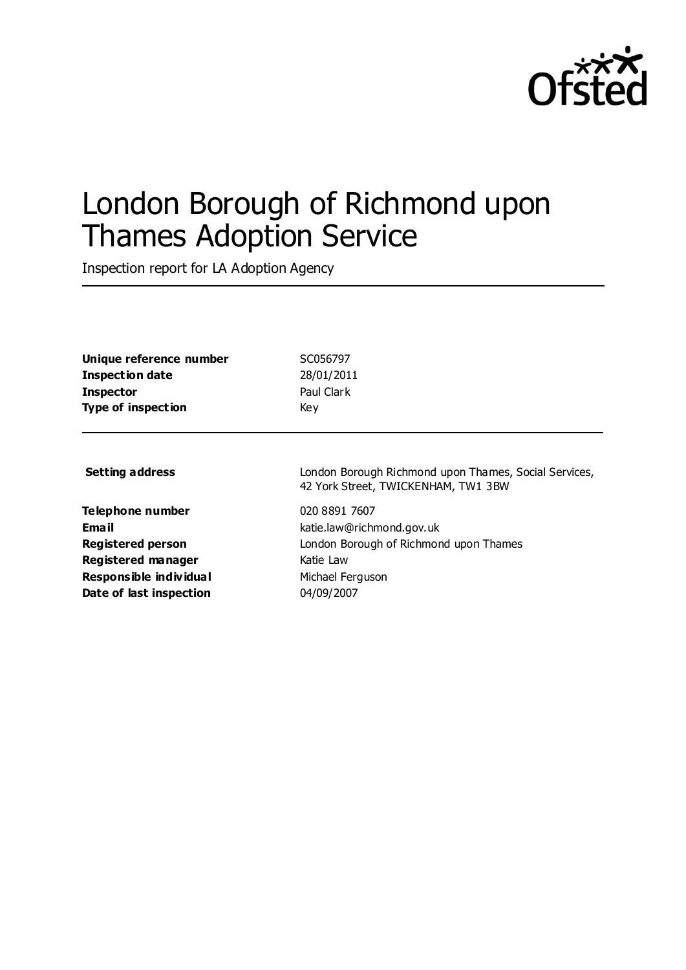

# London Borough of Richmond upon Thames Adoption Service

Inspection report for LA Adoption Agency

**Unique reference number** SC056797 **Inspection date** 28/01/2011 **Inspector** Paul Clark **Type of inspection** Key

**Telephone number** 020 8891 7607 **Registered manager** Katie Law **Responsible individual** Michael Ferguson **Date of last inspection** 04/09/2007

**Setting address** London Borough Richmond upon Thames, Social Services, 42 York Street, TWICKENHAM, TW1 3BW

**Email** katie.law@richmond.gov.uk **Registered person** London Borough of Richmond upon Thames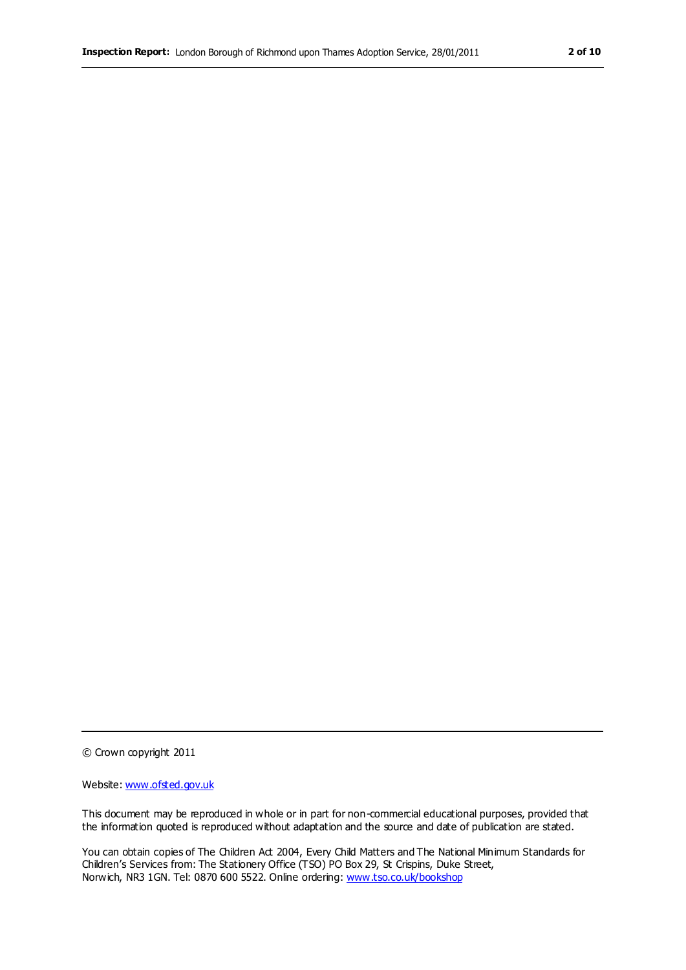© Crown copyright 2011

Website: www.ofsted.gov.uk

This document may be reproduced in whole or in part for non-commercial educational purposes, provided that the information quoted is reproduced without adaptation and the source and date of publication are stated.

You can obtain copies of The Children Act 2004, Every Child Matters and The National Minimum Standards for Children's Services from: The Stationery Office (TSO) PO Box 29, St Crispins, Duke Street, Norwich, NR3 1GN. Tel: 0870 600 5522. Online ordering: www.tso.co.uk/bookshop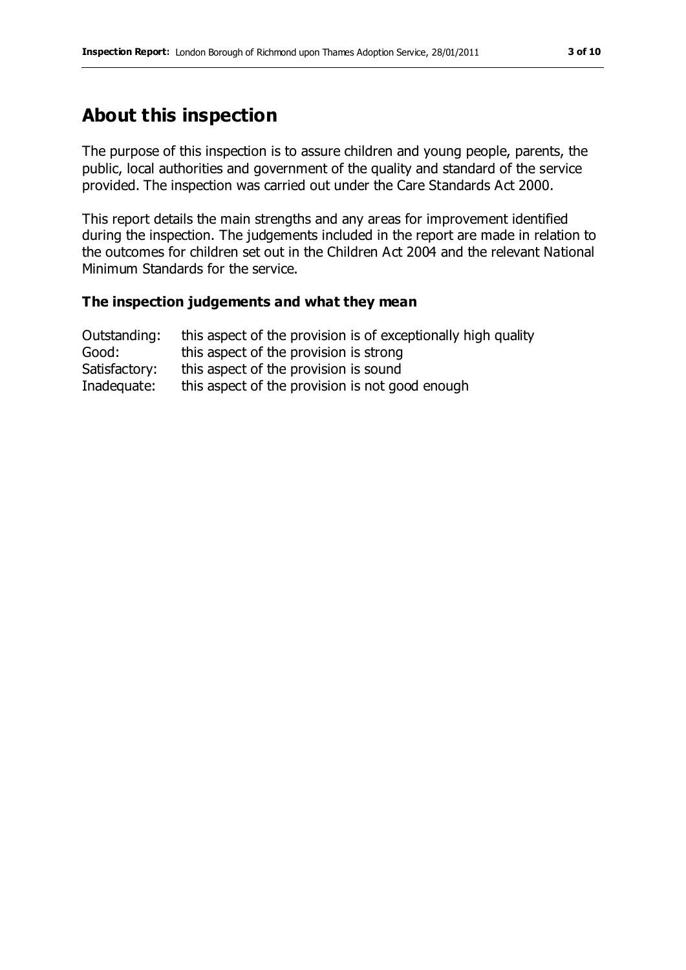# **About this inspection**

The purpose of this inspection is to assure children and young people, parents, the public, local authorities and government of the quality and standard of the service provided. The inspection was carried out under the Care Standards Act 2000.

This report details the main strengths and any areas for improvement identified during the inspection. The judgements included in the report are made in relation to the outcomes for children set out in the Children Act 2004 and the relevant National Minimum Standards for the service.

#### **The inspection judgements and what they mean**

| Outstanding:  | this aspect of the provision is of exceptionally high quality |
|---------------|---------------------------------------------------------------|
| Good:         | this aspect of the provision is strong                        |
| Satisfactory: | this aspect of the provision is sound                         |
| Inadequate:   | this aspect of the provision is not good enough               |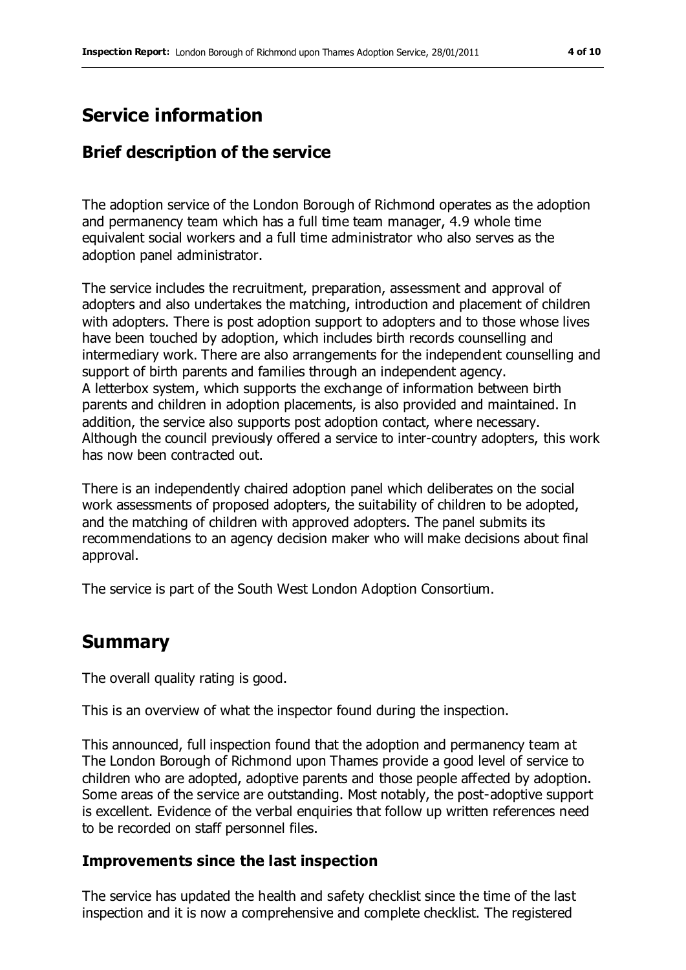# **Service information**

### **Brief description of the service**

The adoption service of the London Borough of Richmond operates as the adoption and permanency team which has a full time team manager, 4.9 whole time equivalent social workers and a full time administrator who also serves as the adoption panel administrator.

The service includes the recruitment, preparation, assessment and approval of adopters and also undertakes the matching, introduction and placement of children with adopters. There is post adoption support to adopters and to those whose lives have been touched by adoption, which includes birth records counselling and intermediary work. There are also arrangements for the independent counselling and support of birth parents and families through an independent agency. A letterbox system, which supports the exchange of information between birth parents and children in adoption placements, is also provided and maintained. In addition, the service also supports post adoption contact, where necessary. Although the council previously offered a service to inter-country adopters, this work has now been contracted out.

There is an independently chaired adoption panel which deliberates on the social work assessments of proposed adopters, the suitability of children to be adopted, and the matching of children with approved adopters. The panel submits its recommendations to an agency decision maker who will make decisions about final approval.

The service is part of the South West London Adoption Consortium.

## **Summary**

The overall quality rating is good.

This is an overview of what the inspector found during the inspection.

This announced, full inspection found that the adoption and permanency team at The London Borough of Richmond upon Thames provide a good level of service to children who are adopted, adoptive parents and those people affected by adoption. Some areas of the service are outstanding. Most notably, the post-adoptive support is excellent. Evidence of the verbal enquiries that follow up written references need to be recorded on staff personnel files.

#### **Improvements since the last inspection**

The service has updated the health and safety checklist since the time of the last inspection and it is now a comprehensive and complete checklist. The registered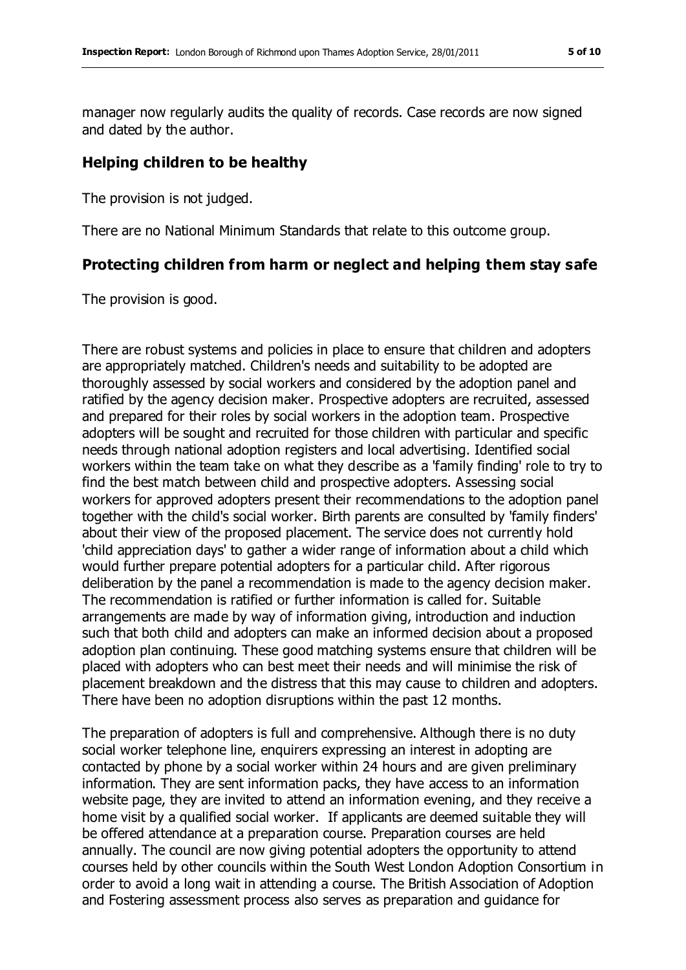manager now regularly audits the quality of records. Case records are now signed and dated by the author.

#### **Helping children to be healthy**

The provision is not judged.

There are no National Minimum Standards that relate to this outcome group.

#### **Protecting children from harm or neglect and helping them stay safe**

The provision is good.

There are robust systems and policies in place to ensure that children and adopters are appropriately matched. Children's needs and suitability to be adopted are thoroughly assessed by social workers and considered by the adoption panel and ratified by the agency decision maker. Prospective adopters are recruited, assessed and prepared for their roles by social workers in the adoption team. Prospective adopters will be sought and recruited for those children with particular and specific needs through national adoption registers and local advertising. Identified social workers within the team take on what they describe as a 'family finding' role to try to find the best match between child and prospective adopters. Assessing social workers for approved adopters present their recommendations to the adoption panel together with the child's social worker. Birth parents are consulted by 'family finders' about their view of the proposed placement. The service does not currently hold 'child appreciation days' to gather a wider range of information about a child which would further prepare potential adopters for a particular child. After rigorous deliberation by the panel a recommendation is made to the agency decision maker. The recommendation is ratified or further information is called for. Suitable arrangements are made by way of information giving, introduction and induction such that both child and adopters can make an informed decision about a proposed adoption plan continuing. These good matching systems ensure that children will be placed with adopters who can best meet their needs and will minimise the risk of placement breakdown and the distress that this may cause to children and adopters. There have been no adoption disruptions within the past 12 months.

The preparation of adopters is full and comprehensive. Although there is no duty social worker telephone line, enquirers expressing an interest in adopting are contacted by phone by a social worker within 24 hours and are given preliminary information. They are sent information packs, they have access to an information website page, they are invited to attend an information evening, and they receive a home visit by a qualified social worker. If applicants are deemed suitable they will be offered attendance at a preparation course. Preparation courses are held annually. The council are now giving potential adopters the opportunity to attend courses held by other councils within the South West London Adoption Consortium in order to avoid a long wait in attending a course. The British Association of Adoption and Fostering assessment process also serves as preparation and guidance for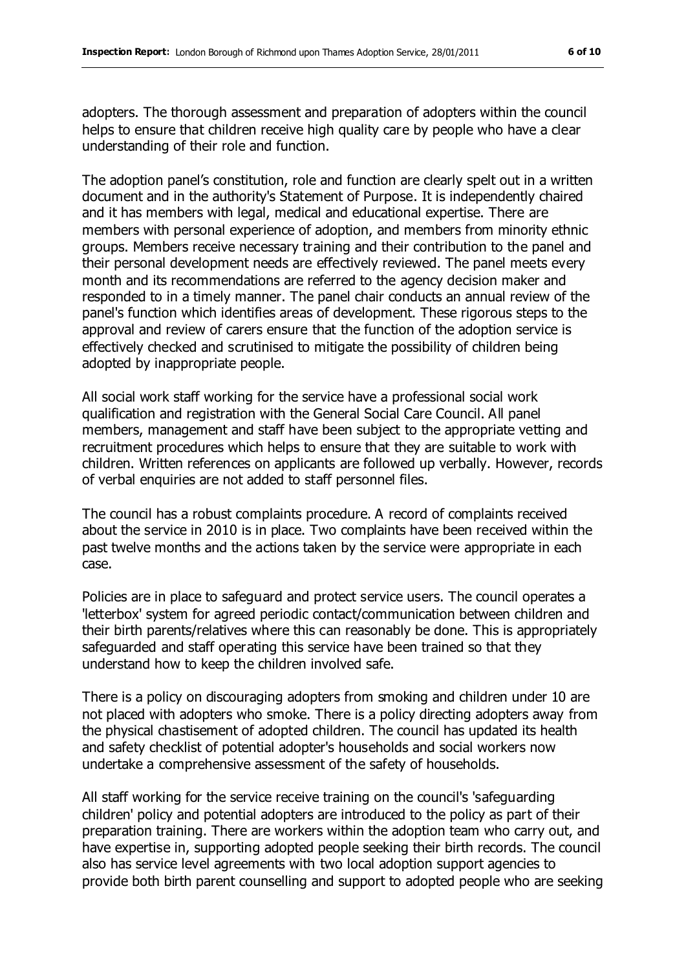adopters. The thorough assessment and preparation of adopters within the council helps to ensure that children receive high quality care by people who have a clear understanding of their role and function.

The adoption panel's constitution, role and function are clearly spelt out in a written document and in the authority's Statement of Purpose. It is independently chaired and it has members with legal, medical and educational expertise. There are members with personal experience of adoption, and members from minority ethnic groups. Members receive necessary training and their contribution to the panel and their personal development needs are effectively reviewed. The panel meets every month and its recommendations are referred to the agency decision maker and responded to in a timely manner. The panel chair conducts an annual review of the panel's function which identifies areas of development. These rigorous steps to the approval and review of carers ensure that the function of the adoption service is effectively checked and scrutinised to mitigate the possibility of children being adopted by inappropriate people.

All social work staff working for the service have a professional social work qualification and registration with the General Social Care Council. All panel members, management and staff have been subject to the appropriate vetting and recruitment procedures which helps to ensure that they are suitable to work with children. Written references on applicants are followed up verbally. However, records of verbal enquiries are not added to staff personnel files.

The council has a robust complaints procedure. A record of complaints received about the service in 2010 is in place. Two complaints have been received within the past twelve months and the actions taken by the service were appropriate in each case.

Policies are in place to safeguard and protect service users. The council operates a 'letterbox' system for agreed periodic contact/communication between children and their birth parents/relatives where this can reasonably be done. This is appropriately safeguarded and staff operating this service have been trained so that they understand how to keep the children involved safe.

There is a policy on discouraging adopters from smoking and children under 10 are not placed with adopters who smoke. There is a policy directing adopters away from the physical chastisement of adopted children. The council has updated its health and safety checklist of potential adopter's households and social workers now undertake a comprehensive assessment of the safety of households.

All staff working for the service receive training on the council's 'safeguarding children' policy and potential adopters are introduced to the policy as part of their preparation training. There are workers within the adoption team who carry out, and have expertise in, supporting adopted people seeking their birth records. The council also has service level agreements with two local adoption support agencies to provide both birth parent counselling and support to adopted people who are seeking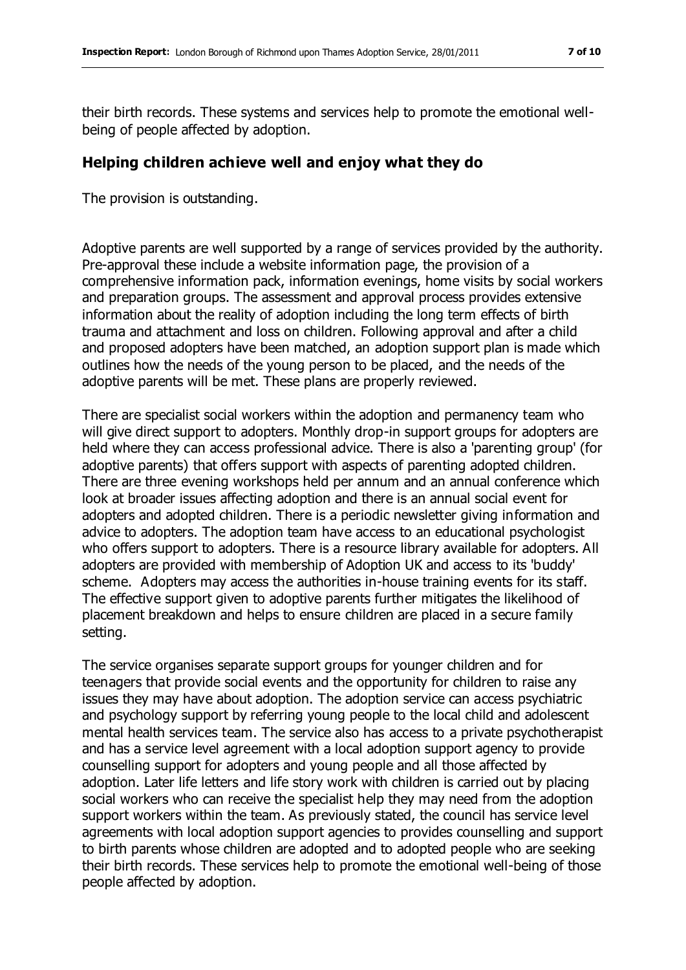their birth records. These systems and services help to promote the emotional wellbeing of people affected by adoption.

#### **Helping children achieve well and enjoy what they do**

The provision is outstanding.

Adoptive parents are well supported by a range of services provided by the authority. Pre-approval these include a website information page, the provision of a comprehensive information pack, information evenings, home visits by social workers and preparation groups. The assessment and approval process provides extensive information about the reality of adoption including the long term effects of birth trauma and attachment and loss on children. Following approval and after a child and proposed adopters have been matched, an adoption support plan is made which outlines how the needs of the young person to be placed, and the needs of the adoptive parents will be met. These plans are properly reviewed.

There are specialist social workers within the adoption and permanency team who will give direct support to adopters. Monthly drop-in support groups for adopters are held where they can access professional advice. There is also a 'parenting group' (for adoptive parents) that offers support with aspects of parenting adopted children. There are three evening workshops held per annum and an annual conference which look at broader issues affecting adoption and there is an annual social event for adopters and adopted children. There is a periodic newsletter giving information and advice to adopters. The adoption team have access to an educational psychologist who offers support to adopters. There is a resource library available for adopters. All adopters are provided with membership of Adoption UK and access to its 'buddy' scheme. Adopters may access the authorities in-house training events for its staff. The effective support given to adoptive parents further mitigates the likelihood of placement breakdown and helps to ensure children are placed in a secure family setting.

The service organises separate support groups for younger children and for teenagers that provide social events and the opportunity for children to raise any issues they may have about adoption. The adoption service can access psychiatric and psychology support by referring young people to the local child and adolescent mental health services team. The service also has access to a private psychotherapist and has a service level agreement with a local adoption support agency to provide counselling support for adopters and young people and all those affected by adoption. Later life letters and life story work with children is carried out by placing social workers who can receive the specialist help they may need from the adoption support workers within the team. As previously stated, the council has service level agreements with local adoption support agencies to provides counselling and support to birth parents whose children are adopted and to adopted people who are seeking their birth records. These services help to promote the emotional well-being of those people affected by adoption.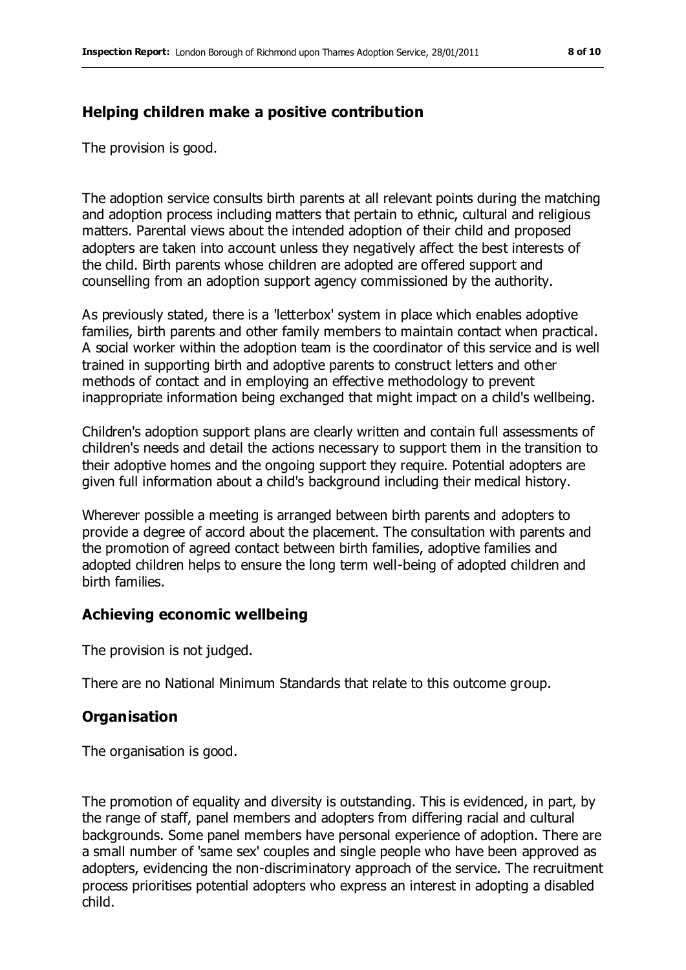#### **Helping children make a positive contribution**

The provision is good.

The adoption service consults birth parents at all relevant points during the matching and adoption process including matters that pertain to ethnic, cultural and religious matters. Parental views about the intended adoption of their child and proposed adopters are taken into account unless they negatively affect the best interests of the child. Birth parents whose children are adopted are offered support and counselling from an adoption support agency commissioned by the authority.

As previously stated, there is a 'letterbox' system in place which enables adoptive families, birth parents and other family members to maintain contact when practical. A social worker within the adoption team is the coordinator of this service and is well trained in supporting birth and adoptive parents to construct letters and other methods of contact and in employing an effective methodology to prevent inappropriate information being exchanged that might impact on a child's wellbeing.

Children's adoption support plans are clearly written and contain full assessments of children's needs and detail the actions necessary to support them in the transition to their adoptive homes and the ongoing support they require. Potential adopters are given full information about a child's background including their medical history.

Wherever possible a meeting is arranged between birth parents and adopters to provide a degree of accord about the placement. The consultation with parents and the promotion of agreed contact between birth families, adoptive families and adopted children helps to ensure the long term well-being of adopted children and birth families.

#### **Achieving economic wellbeing**

The provision is not judged.

There are no National Minimum Standards that relate to this outcome group.

#### **Organisation**

The organisation is good.

The promotion of equality and diversity is outstanding. This is evidenced, in part, by the range of staff, panel members and adopters from differing racial and cultural backgrounds. Some panel members have personal experience of adoption. There are a small number of 'same sex' couples and single people who have been approved as adopters, evidencing the non-discriminatory approach of the service. The recruitment process prioritises potential adopters who express an interest in adopting a disabled child.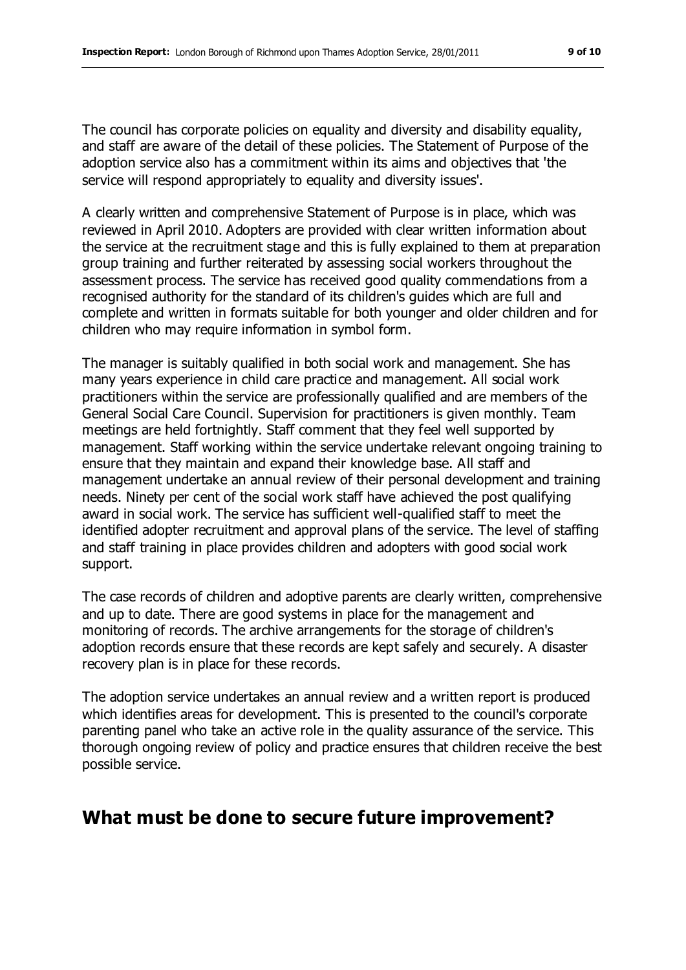The council has corporate policies on equality and diversity and disability equality, and staff are aware of the detail of these policies. The Statement of Purpose of the adoption service also has a commitment within its aims and objectives that 'the service will respond appropriately to equality and diversity issues'.

A clearly written and comprehensive Statement of Purpose is in place, which was reviewed in April 2010. Adopters are provided with clear written information about the service at the recruitment stage and this is fully explained to them at preparation group training and further reiterated by assessing social workers throughout the assessment process. The service has received good quality commendations from a recognised authority for the standard of its children's guides which are full and complete and written in formats suitable for both younger and older children and for children who may require information in symbol form.

The manager is suitably qualified in both social work and management. She has many years experience in child care practice and management. All social work practitioners within the service are professionally qualified and are members of the General Social Care Council. Supervision for practitioners is given monthly. Team meetings are held fortnightly. Staff comment that they feel well supported by management. Staff working within the service undertake relevant ongoing training to ensure that they maintain and expand their knowledge base. All staff and management undertake an annual review of their personal development and training needs. Ninety per cent of the social work staff have achieved the post qualifying award in social work. The service has sufficient well-qualified staff to meet the identified adopter recruitment and approval plans of the service. The level of staffing and staff training in place provides children and adopters with good social work support.

The case records of children and adoptive parents are clearly written, comprehensive and up to date. There are good systems in place for the management and monitoring of records. The archive arrangements for the storage of children's adoption records ensure that these records are kept safely and securely. A disaster recovery plan is in place for these records.

The adoption service undertakes an annual review and a written report is produced which identifies areas for development. This is presented to the council's corporate parenting panel who take an active role in the quality assurance of the service. This thorough ongoing review of policy and practice ensures that children receive the best possible service.

## **What must be done to secure future improvement?**